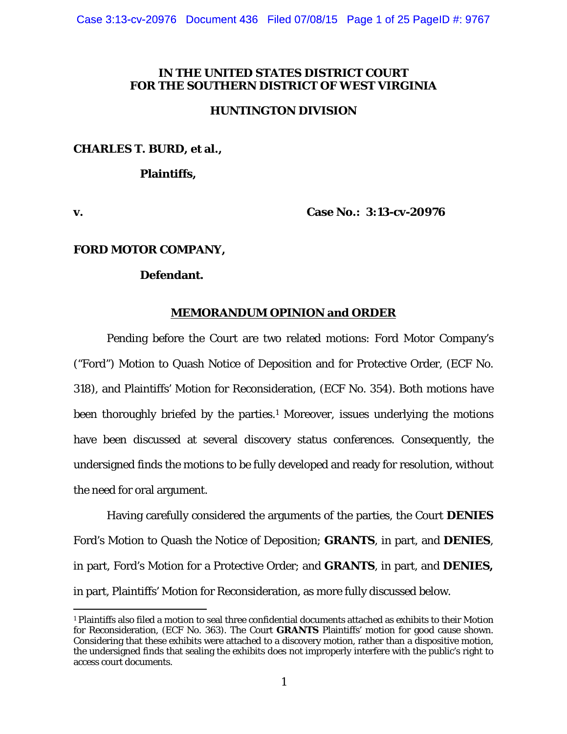# **IN THE UNITED STATES DISTRICT COURT FOR THE SOUTHERN DISTRICT OF WEST VIRGINIA**

# **HUNTINGTON DIVISION**

## **CHARLES T. BURD, et al.,**

## **Plaintiffs,**

**v. Case No.: 3:13-cv-20976** 

# **FORD MOTOR COMPANY,**

# **Defendant.**

# **MEMORANDUM OPINION and ORDER**

 Pending before the Court are two related motions: Ford Motor Company's ("Ford") Motion to Quash Notice of Deposition and for Protective Order, (ECF No. 318), and Plaintiffs' Motion for Reconsideration, (ECF No. 354). Both motions have been thoroughly briefed by the parties.<sup>1</sup> Moreover, issues underlying the motions have been discussed at several discovery status conferences. Consequently, the undersigned finds the motions to be fully developed and ready for resolution, without the need for oral argument.

Having carefully considered the arguments of the parties, the Court **DENIES**  Ford's Motion to Quash the Notice of Deposition; **GRANTS**, in part, and **DENIES**, in part, Ford's Motion for a Protective Order; and **GRANTS**, in part, and **DENIES,** in part, Plaintiffs' Motion for Reconsideration, as more fully discussed below.

 <sup>1</sup> Plaintiffs also filed a motion to seal three confidential documents attached as exhibits to their Motion for Reconsideration, (ECF No. 363). The Court **GRANTS** Plaintiffs' motion for good cause shown. Considering that these exhibits were attached to a discovery motion, rather than a dispositive motion, the undersigned finds that sealing the exhibits does not improperly interfere with the public's right to access court documents.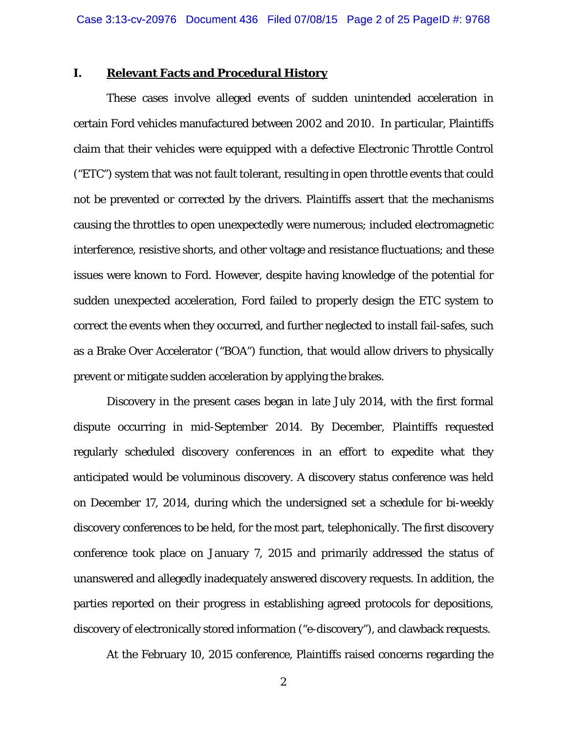# **I. Relevant Facts and Procedural History**

 These cases involve alleged events of sudden unintended acceleration in certain Ford vehicles manufactured between 2002 and 2010. In particular, Plaintiffs claim that their vehicles were equipped with a defective Electronic Throttle Control ("ETC") system that was not fault tolerant, resulting in open throttle events that could not be prevented or corrected by the drivers. Plaintiffs assert that the mechanisms causing the throttles to open unexpectedly were numerous; included electromagnetic interference, resistive shorts, and other voltage and resistance fluctuations; and these issues were known to Ford. However, despite having knowledge of the potential for sudden unexpected acceleration, Ford failed to properly design the ETC system to correct the events when they occurred, and further neglected to install fail-safes, such as a Brake Over Accelerator ("BOA") function, that would allow drivers to physically prevent or mitigate sudden acceleration by applying the brakes.

 Discovery in the present cases began in late July 2014, with the first formal dispute occurring in mid-September 2014. By December, Plaintiffs requested regularly scheduled discovery conferences in an effort to expedite what they anticipated would be voluminous discovery. A discovery status conference was held on December 17, 2014, during which the undersigned set a schedule for bi-weekly discovery conferences to be held, for the most part, telephonically. The first discovery conference took place on January 7, 2015 and primarily addressed the status of unanswered and allegedly inadequately answered discovery requests. In addition, the parties reported on their progress in establishing agreed protocols for depositions, discovery of electronically stored information ("e-discovery"), and clawback requests.

At the February 10, 2015 conference, Plaintiffs raised concerns regarding the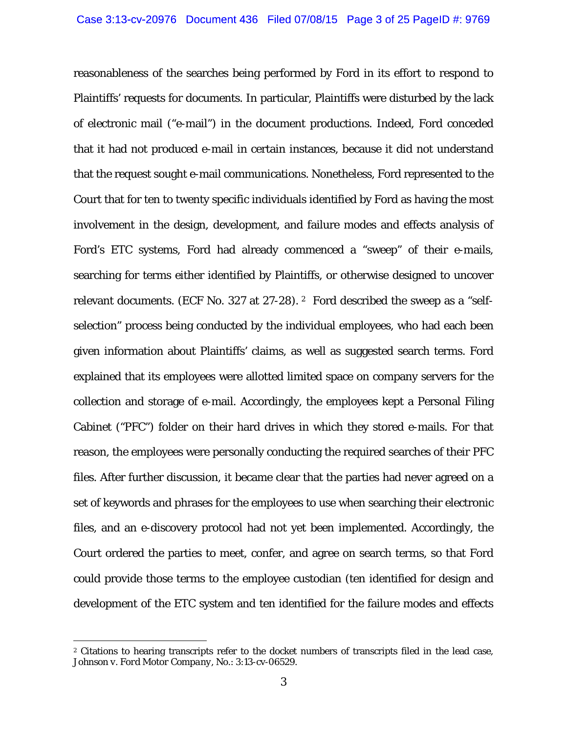reasonableness of the searches being performed by Ford in its effort to respond to Plaintiffs' requests for documents. In particular, Plaintiffs were disturbed by the lack of electronic mail ("e-mail") in the document productions. Indeed, Ford conceded that it had not produced e-mail in certain instances, because it did not understand that the request sought e-mail communications. Nonetheless, Ford represented to the Court that for ten to twenty specific individuals identified by Ford as having the most involvement in the design, development, and failure modes and effects analysis of Ford's ETC systems, Ford had already commenced a "sweep" of their e-mails, searching for terms either identified by Plaintiffs, or otherwise designed to uncover relevant documents. (ECF No. 327 at 27-28). 2 Ford described the sweep as a "selfselection" process being conducted by the individual employees, who had each been given information about Plaintiffs' claims, as well as suggested search terms. Ford explained that its employees were allotted limited space on company servers for the collection and storage of e-mail. Accordingly, the employees kept a Personal Filing Cabinet ("PFC") folder on their hard drives in which they stored e-mails. For that reason, the employees were personally conducting the required searches of their PFC files. After further discussion, it became clear that the parties had never agreed on a set of keywords and phrases for the employees to use when searching their electronic files, and an e-discovery protocol had not yet been implemented. Accordingly, the Court ordered the parties to meet, confer, and agree on search terms, so that Ford could provide those terms to the employee custodian (ten identified for design and development of the ETC system and ten identified for the failure modes and effects

 <sup>2</sup> Citations to hearing transcripts refer to the docket numbers of transcripts filed in the lead case, *Johnson v. Ford Motor Company,* No.: 3:13-cv-06529.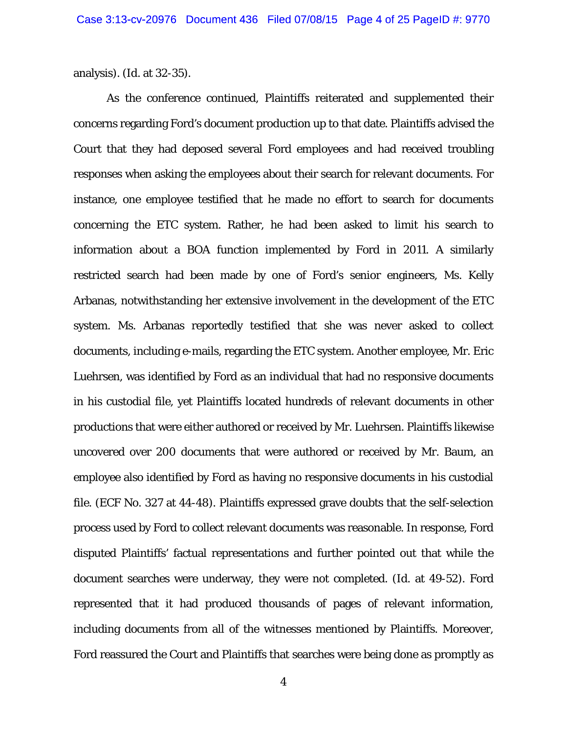analysis). (*Id*. at 32-35).

As the conference continued, Plaintiffs reiterated and supplemented their concerns regarding Ford's document production up to that date. Plaintiffs advised the Court that they had deposed several Ford employees and had received troubling responses when asking the employees about their search for relevant documents. For instance, one employee testified that he made no effort to search for documents concerning the ETC system. Rather, he had been asked to limit his search to information about a BOA function implemented by Ford in 2011. A similarly restricted search had been made by one of Ford's senior engineers, Ms. Kelly Arbanas, notwithstanding her extensive involvement in the development of the ETC system. Ms. Arbanas reportedly testified that she was never asked to collect documents, including e-mails, regarding the ETC system. Another employee, Mr. Eric Luehrsen, was identified by Ford as an individual that had no responsive documents in his custodial file, yet Plaintiffs located hundreds of relevant documents in other productions that were either authored or received by Mr. Luehrsen. Plaintiffs likewise uncovered over 200 documents that were authored or received by Mr. Baum, an employee also identified by Ford as having no responsive documents in his custodial file. (ECF No. 327 at 44-48). Plaintiffs expressed grave doubts that the self-selection process used by Ford to collect relevant documents was reasonable. In response, Ford disputed Plaintiffs' factual representations and further pointed out that while the document searches were underway, they were not completed. (*Id*. at 49-52). Ford represented that it had produced thousands of pages of relevant information, including documents from all of the witnesses mentioned by Plaintiffs. Moreover, Ford reassured the Court and Plaintiffs that searches were being done as promptly as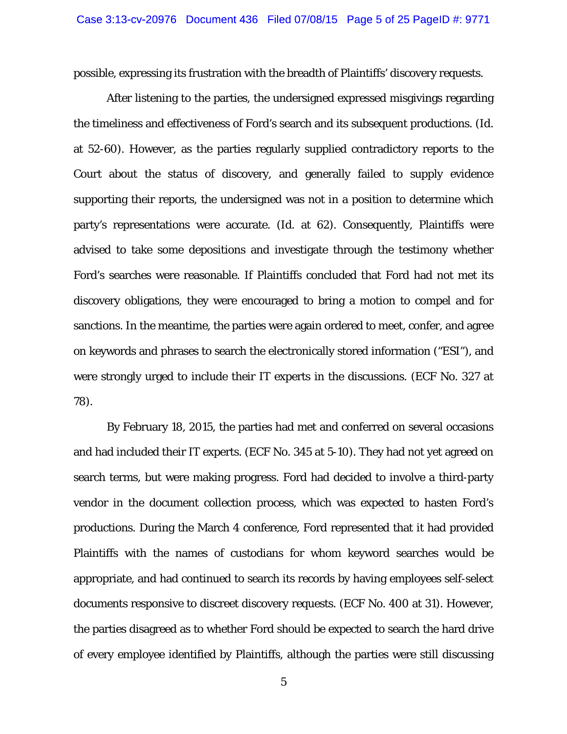possible, expressing its frustration with the breadth of Plaintiffs' discovery requests.

After listening to the parties, the undersigned expressed misgivings regarding the timeliness and effectiveness of Ford's search and its subsequent productions. (*Id.* at 52-60). However, as the parties regularly supplied contradictory reports to the Court about the status of discovery, and generally failed to supply evidence supporting their reports, the undersigned was not in a position to determine which party's representations were accurate. (Id. at 62). Consequently, Plaintiffs were advised to take some depositions and investigate through the testimony whether Ford's searches were reasonable. If Plaintiffs concluded that Ford had not met its discovery obligations, they were encouraged to bring a motion to compel and for sanctions. In the meantime, the parties were again ordered to meet, confer, and agree on keywords and phrases to search the electronically stored information ("ESI"), and were strongly urged to include their IT experts in the discussions. (ECF No. 327 at 78).

By February 18, 2015, the parties had met and conferred on several occasions and had included their IT experts. (ECF No. 345 at 5-10). They had not yet agreed on search terms, but were making progress. Ford had decided to involve a third-party vendor in the document collection process, which was expected to hasten Ford's productions. During the March 4 conference, Ford represented that it had provided Plaintiffs with the names of custodians for whom keyword searches would be appropriate, and had continued to search its records by having employees self-select documents responsive to discreet discovery requests. (ECF No. 400 at 31). However, the parties disagreed as to whether Ford should be expected to search the hard drive of every employee identified by Plaintiffs, although the parties were still discussing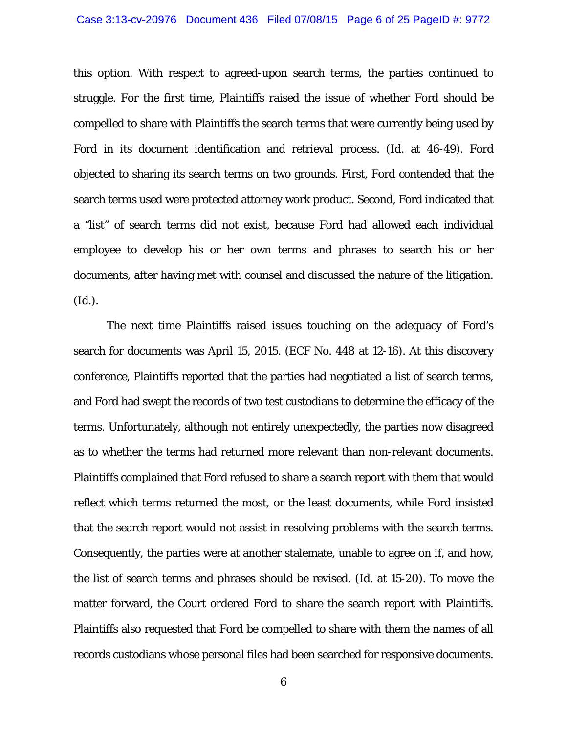this option. With respect to agreed-upon search terms, the parties continued to struggle. For the first time, Plaintiffs raised the issue of whether Ford should be compelled to share with Plaintiffs the search terms that were currently being used by Ford in its document identification and retrieval process. (*Id*. at 46-49). Ford objected to sharing its search terms on two grounds. First, Ford contended that the search terms used were protected attorney work product. Second, Ford indicated that a "list" of search terms did not exist, because Ford had allowed each individual employee to develop his or her own terms and phrases to search his or her documents, after having met with counsel and discussed the nature of the litigation. (*Id*.).

The next time Plaintiffs raised issues touching on the adequacy of Ford's search for documents was April 15, 2015. (ECF No. 448 at 12-16). At this discovery conference, Plaintiffs reported that the parties had negotiated a list of search terms, and Ford had swept the records of two test custodians to determine the efficacy of the terms. Unfortunately, although not entirely unexpectedly, the parties now disagreed as to whether the terms had returned more relevant than non-relevant documents. Plaintiffs complained that Ford refused to share a search report with them that would reflect which terms returned the most, or the least documents, while Ford insisted that the search report would not assist in resolving problems with the search terms. Consequently, the parties were at another stalemate, unable to agree on if, and how, the list of search terms and phrases should be revised. (*Id.* at 15-20). To move the matter forward, the Court ordered Ford to share the search report with Plaintiffs. Plaintiffs also requested that Ford be compelled to share with them the names of all records custodians whose personal files had been searched for responsive documents.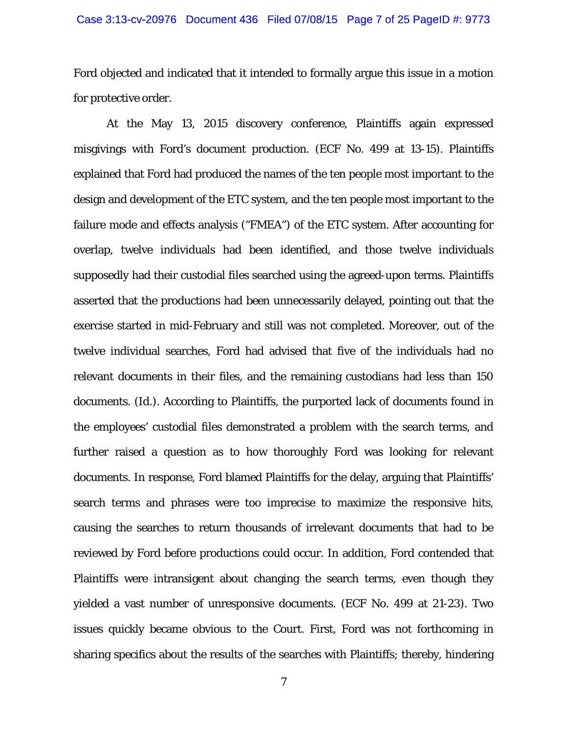Ford objected and indicated that it intended to formally argue this issue in a motion for protective order.

At the May 13, 2015 discovery conference, Plaintiffs again expressed misgivings with Ford's document production. (ECF No. 499 at 13-15). Plaintiffs explained that Ford had produced the names of the ten people most important to the design and development of the ETC system, and the ten people most important to the failure mode and effects analysis ("FMEA") of the ETC system. After accounting for overlap, twelve individuals had been identified, and those twelve individuals supposedly had their custodial files searched using the agreed-upon terms. Plaintiffs asserted that the productions had been unnecessarily delayed, pointing out that the exercise started in mid-February and still was not completed. Moreover, out of the twelve individual searches, Ford had advised that five of the individuals had no relevant documents in their files, and the remaining custodians had less than 150 documents. (*Id*.). According to Plaintiffs, the purported lack of documents found in the employees' custodial files demonstrated a problem with the search terms, and further raised a question as to how thoroughly Ford was looking for relevant documents. In response, Ford blamed Plaintiffs for the delay, arguing that Plaintiffs' search terms and phrases were too imprecise to maximize the responsive hits, causing the searches to return thousands of irrelevant documents that had to be reviewed by Ford before productions could occur. In addition, Ford contended that Plaintiffs were intransigent about changing the search terms, even though they yielded a vast number of unresponsive documents. (ECF No. 499 at 21-23). Two issues quickly became obvious to the Court. First, Ford was not forthcoming in sharing specifics about the results of the searches with Plaintiffs; thereby, hindering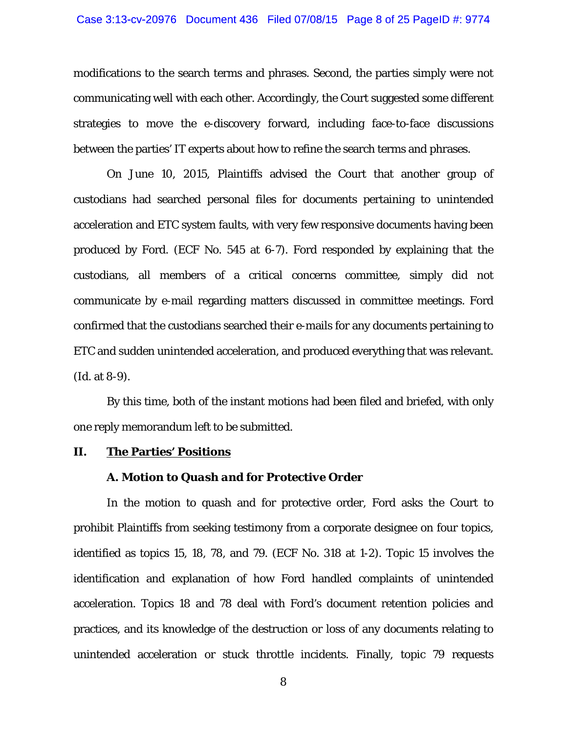modifications to the search terms and phrases. Second, the parties simply were not communicating well with each other. Accordingly, the Court suggested some different strategies to move the e-discovery forward, including face-to-face discussions between the parties' IT experts about how to refine the search terms and phrases.

On June 10, 2015, Plaintiffs advised the Court that another group of custodians had searched personal files for documents pertaining to unintended acceleration and ETC system faults, with very few responsive documents having been produced by Ford. (ECF No. 545 at 6-7). Ford responded by explaining that the custodians, all members of a critical concerns committee, simply did not communicate by e-mail regarding matters discussed in committee meetings. Ford confirmed that the custodians searched their e-mails for any documents pertaining to ETC and sudden unintended acceleration, and produced everything that was relevant. (*Id*. at 8-9).

By this time, both of the instant motions had been filed and briefed, with only one reply memorandum left to be submitted.

#### **II. The Parties' Positions**

#### *A. Motion to Quash and for Protective Order*

In the motion to quash and for protective order, Ford asks the Court to prohibit Plaintiffs from seeking testimony from a corporate designee on four topics, identified as topics 15, 18, 78, and 79. (ECF No. 318 at 1-2). Topic 15 involves the identification and explanation of how Ford handled complaints of unintended acceleration. Topics 18 and 78 deal with Ford's document retention policies and practices, and its knowledge of the destruction or loss of any documents relating to unintended acceleration or stuck throttle incidents. Finally, topic 79 requests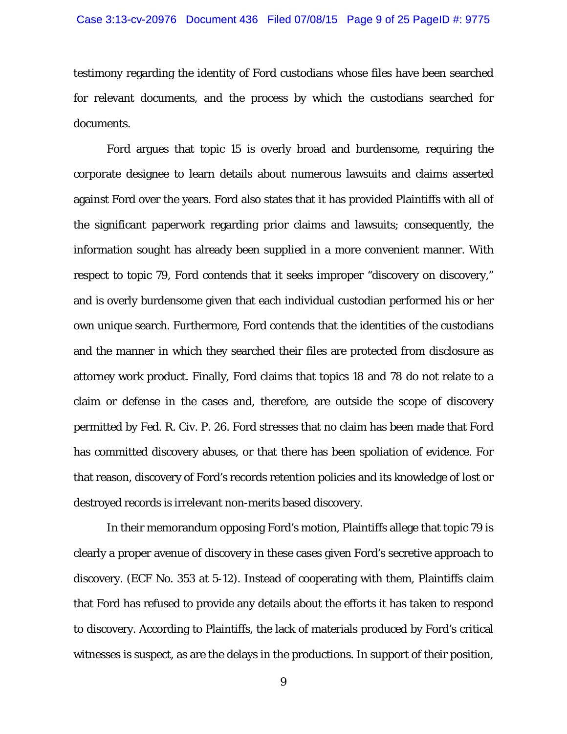testimony regarding the identity of Ford custodians whose files have been searched for relevant documents, and the process by which the custodians searched for documents.

Ford argues that topic 15 is overly broad and burdensome, requiring the corporate designee to learn details about numerous lawsuits and claims asserted against Ford over the years. Ford also states that it has provided Plaintiffs with all of the significant paperwork regarding prior claims and lawsuits; consequently, the information sought has already been supplied in a more convenient manner. With respect to topic 79, Ford contends that it seeks improper "discovery on discovery," and is overly burdensome given that each individual custodian performed his or her own unique search. Furthermore, Ford contends that the identities of the custodians and the manner in which they searched their files are protected from disclosure as attorney work product. Finally, Ford claims that topics 18 and 78 do not relate to a claim or defense in the cases and, therefore, are outside the scope of discovery permitted by Fed. R. Civ. P. 26. Ford stresses that no claim has been made that Ford has committed discovery abuses, or that there has been spoliation of evidence. For that reason, discovery of Ford's records retention policies and its knowledge of lost or destroyed records is irrelevant non-merits based discovery.

In their memorandum opposing Ford's motion, Plaintiffs allege that topic 79 is clearly a proper avenue of discovery in these cases given Ford's secretive approach to discovery. (ECF No. 353 at 5-12). Instead of cooperating with them, Plaintiffs claim that Ford has refused to provide any details about the efforts it has taken to respond to discovery. According to Plaintiffs, the lack of materials produced by Ford's critical witnesses is suspect, as are the delays in the productions. In support of their position,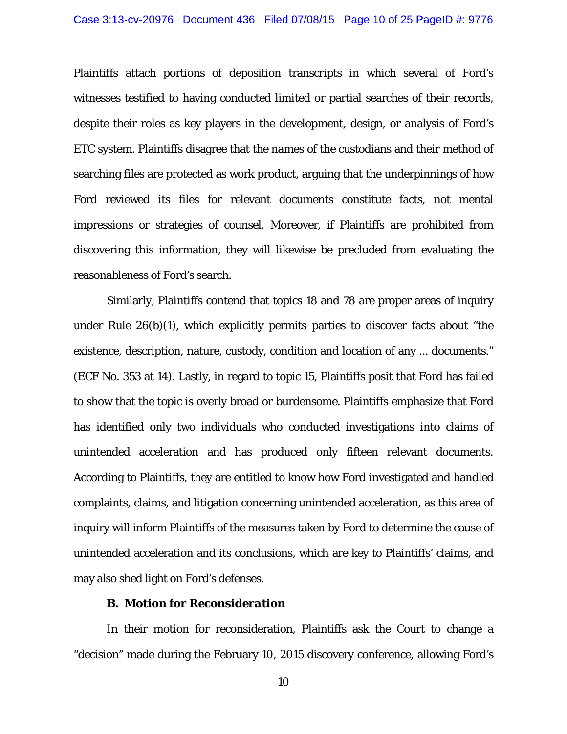Plaintiffs attach portions of deposition transcripts in which several of Ford's witnesses testified to having conducted limited or partial searches of their records, despite their roles as key players in the development, design, or analysis of Ford's ETC system. Plaintiffs disagree that the names of the custodians and their method of searching files are protected as work product, arguing that the underpinnings of how Ford reviewed its files for relevant documents constitute facts, not mental impressions or strategies of counsel. Moreover, if Plaintiffs are prohibited from discovering this information, they will likewise be precluded from evaluating the reasonableness of Ford's search.

Similarly, Plaintiffs contend that topics 18 and 78 are proper areas of inquiry under Rule 26(b)(1), which explicitly permits parties to discover facts about "the existence, description, nature, custody, condition and location of any ... documents." (ECF No. 353 at 14). Lastly, in regard to topic 15, Plaintiffs posit that Ford has failed to show that the topic is overly broad or burdensome. Plaintiffs emphasize that Ford has identified only two individuals who conducted investigations into claims of unintended acceleration and has produced only fifteen relevant documents. According to Plaintiffs, they are entitled to know how Ford investigated and handled complaints, claims, and litigation concerning unintended acceleration, as this area of inquiry will inform Plaintiffs of the measures taken by Ford to determine the cause of unintended acceleration and its conclusions, which are key to Plaintiffs' claims, and may also shed light on Ford's defenses.

# *B. Motion for Reconsideration*

In their motion for reconsideration, Plaintiffs ask the Court to change a "decision" made during the February 10, 2015 discovery conference, allowing Ford's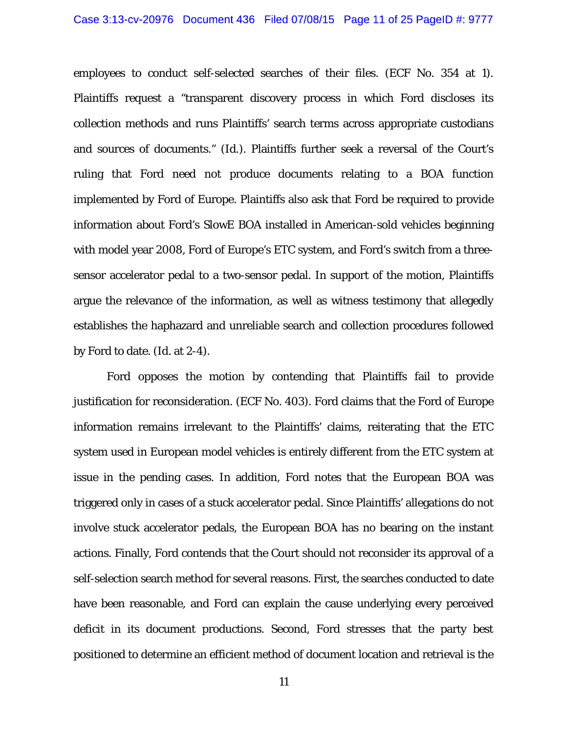employees to conduct self-selected searches of their files. (ECF No. 354 at 1). Plaintiffs request a "transparent discovery process in which Ford discloses its collection methods and runs Plaintiffs' search terms across appropriate custodians and sources of documents." (*Id*.). Plaintiffs further seek a reversal of the Court's ruling that Ford need not produce documents relating to a BOA function implemented by Ford of Europe. Plaintiffs also ask that Ford be required to provide information about Ford's SlowE BOA installed in American-sold vehicles beginning with model year 2008, Ford of Europe's ETC system, and Ford's switch from a threesensor accelerator pedal to a two-sensor pedal. In support of the motion, Plaintiffs argue the relevance of the information, as well as witness testimony that allegedly establishes the haphazard and unreliable search and collection procedures followed by Ford to date. (*Id*. at 2-4).

Ford opposes the motion by contending that Plaintiffs fail to provide justification for reconsideration. (ECF No. 403). Ford claims that the Ford of Europe information remains irrelevant to the Plaintiffs' claims, reiterating that the ETC system used in European model vehicles is entirely different from the ETC system at issue in the pending cases. In addition, Ford notes that the European BOA was triggered only in cases of a stuck accelerator pedal. Since Plaintiffs' allegations do not involve stuck accelerator pedals, the European BOA has no bearing on the instant actions. Finally, Ford contends that the Court should not reconsider its approval of a self-selection search method for several reasons. First, the searches conducted to date have been reasonable, and Ford can explain the cause underlying every perceived deficit in its document productions. Second, Ford stresses that the party best positioned to determine an efficient method of document location and retrieval is the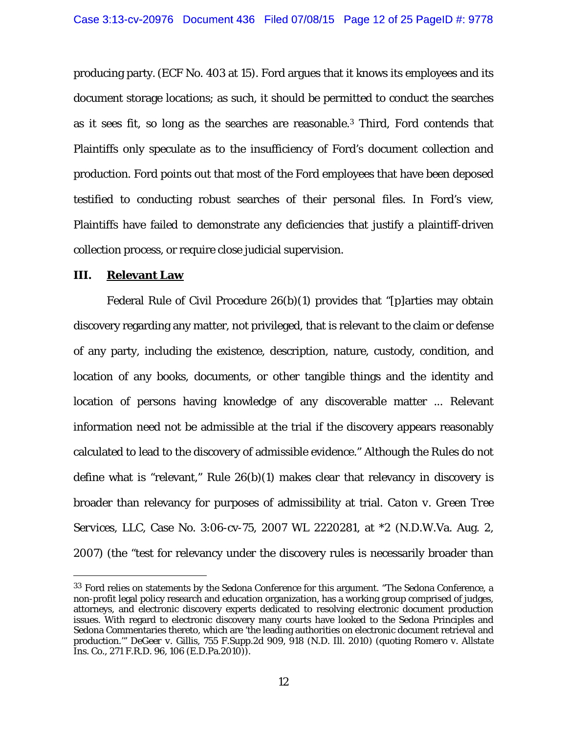producing party. (ECF No. 403 at 15). Ford argues that it knows its employees and its document storage locations; as such, it should be permitted to conduct the searches as it sees fit, so long as the searches are reasonable.3 Third, Ford contends that Plaintiffs only speculate as to the insufficiency of Ford's document collection and production. Ford points out that most of the Ford employees that have been deposed testified to conducting robust searches of their personal files. In Ford's view, Plaintiffs have failed to demonstrate any deficiencies that justify a plaintiff-driven collection process, or require close judicial supervision.

# **III. Relevant Law**

Federal Rule of Civil Procedure 26(b)(1) provides that "[p]arties may obtain discovery regarding any matter, not privileged, that is relevant to the claim or defense of any party, including the existence, description, nature, custody, condition, and location of any books, documents, or other tangible things and the identity and location of persons having knowledge of any discoverable matter ... Relevant information need not be admissible at the trial if the discovery appears reasonably calculated to lead to the discovery of admissible evidence." Although the Rules do not define what is "relevant," Rule  $26(b)(1)$  makes clear that relevancy in discovery is broader than relevancy for purposes of admissibility at trial. *Caton v. Green Tree Services, LLC,* Case No. 3:06-cv-75, 2007 WL 2220281, at \*2 (N.D.W.Va. Aug. 2, 2007) (the "test for relevancy under the discovery rules is necessarily broader than

 <sup>33</sup> Ford relies on statements by the Sedona Conference for this argument. "The Sedona Conference, a non-profit legal policy research and education organization, has a working group comprised of judges, attorneys, and electronic discovery experts dedicated to resolving electronic document production issues. With regard to electronic discovery many courts have looked to the Sedona Principles and Sedona Commentaries thereto, which are 'the leading authorities on electronic document retrieval and production.'" *DeGeer v. Gillis, 7*55 F.Supp.2d 909, 918 (N.D. Ill. 2010) (quoting *Romero v. Allstate Ins. Co.,* 271 F.R.D. 96, 106 (E.D.Pa.2010)).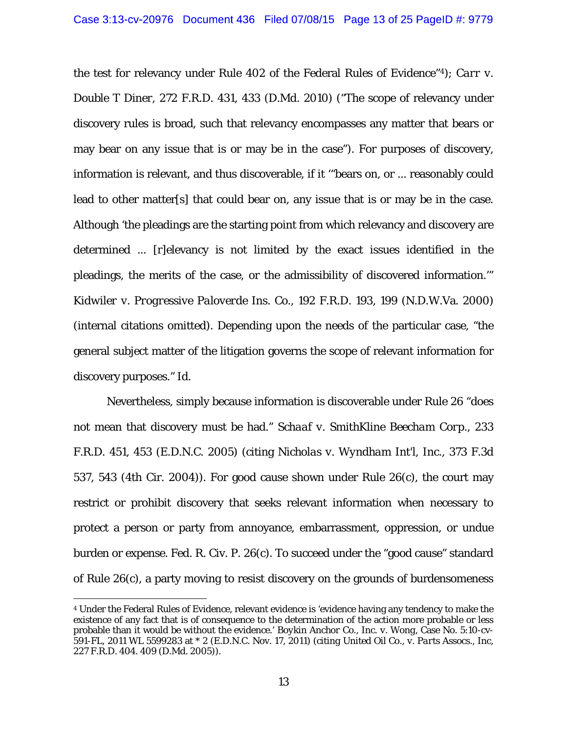the test for relevancy under Rule 402 of the Federal Rules of Evidence"4); *Carr v. Double T Diner,* 272 F.R.D. 431, 433 (D.Md. 2010) ("The scope of relevancy under discovery rules is broad, such that relevancy encompasses any matter that bears or may bear on any issue that is or may be in the case"). For purposes of discovery, information is relevant, and thus discoverable, if it '"bears on, or ... reasonably could lead to other matter[s] that could bear on, any issue that is or may be in the case. Although 'the pleadings are the starting point from which relevancy and discovery are determined ... [r]elevancy is not limited by the exact issues identified in the pleadings, the merits of the case, or the admissibility of discovered information.'" *Kidwiler v. Progressive Paloverde Ins. Co.,* 192 F.R.D. 193, 199 (N.D.W.Va. 2000) (internal citations omitted). Depending upon the needs of the particular case, "the general subject matter of the litigation governs the scope of relevant information for discovery purposes." *Id.* 

Nevertheless, simply because information is discoverable under Rule 26 "does not mean that discovery must be had." *Schaaf v. SmithKline Beecham Corp*., 233 F.R.D. 451, 453 (E.D.N.C. 2005) (citing *Nicholas v. Wyndham Int'l, Inc.,* 373 F.3d 537, 543 (4th Cir. 2004)). For good cause shown under Rule 26(c), the court may restrict or prohibit discovery that seeks relevant information when necessary to protect a person or party from annoyance, embarrassment, oppression, or undue burden or expense. Fed. R. Civ. P. 26(c). To succeed under the "good cause" standard of Rule 26(c), a party moving to resist discovery on the grounds of burdensomeness

 <sup>4</sup> Under the Federal Rules of Evidence, relevant evidence is 'evidence having any tendency to make the existence of any fact that is of consequence to the determination of the action more probable or less probable than it would be without the evidence.' *Boykin Anchor Co., Inc. v. Wong,* Case No. 5:10-cv-591-FL, 2011 WL 5599283 at \* 2 (E.D.N.C. Nov. 17, 2011) (*citing United Oil Co., v. Parts Assocs., Inc,*  227 F.R.D. 404. 409 (D.Md. 2005)).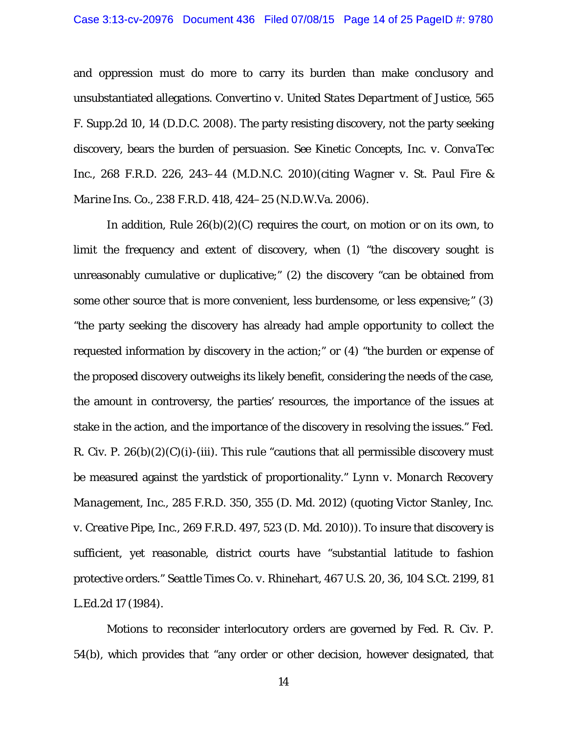and oppression must do more to carry its burden than make conclusory and unsubstantiated allegations. *Convertino v. United States Department of Justice,* 565 F. Supp.2d 10, 14 (D.D.C. 2008). The party resisting discovery, not the party seeking discovery, bears the burden of persuasion. *See Kinetic Concepts, Inc. v. ConvaTec Inc.,* 268 F.R.D. 226, 243–44 (M.D.N.C. 2010)(citing *Wagner v. St. Paul Fire & Marine Ins. Co.,* 238 F.R.D. 418, 424–25 (N.D.W.Va. 2006).

In addition, Rule  $26(b)(2)(C)$  requires the court, on motion or on its own, to limit the frequency and extent of discovery, when (1) "the discovery sought is unreasonably cumulative or duplicative;" (2) the discovery "can be obtained from some other source that is more convenient, less burdensome, or less expensive;" (3) "the party seeking the discovery has already had ample opportunity to collect the requested information by discovery in the action;" or (4) "the burden or expense of the proposed discovery outweighs its likely benefit, considering the needs of the case, the amount in controversy, the parties' resources, the importance of the issues at stake in the action, and the importance of the discovery in resolving the issues." Fed. R. Civ. P.  $26(b)(2)(c)(i)-(iii)$ . This rule "cautions that all permissible discovery must be measured against the yardstick of proportionality." *Lynn v. Monarch Recovery Management, Inc.,* 285 F.R.D. 350, 355 (D. Md. 2012) (quoting *Victor Stanley, Inc. v. Creative Pipe, Inc.,* 269 F.R.D. 497, 523 (D. Md. 2010)). To insure that discovery is sufficient, yet reasonable, district courts have "substantial latitude to fashion protective orders." *Seattle Times Co. v. Rhinehar*t, 467 U.S. 20, 36, 104 S.Ct. 2199, 81 L.Ed.2d 17 (1984).

Motions to reconsider interlocutory orders are governed by Fed. R. Civ. P. 54(b), which provides that "any order or other decision, however designated, that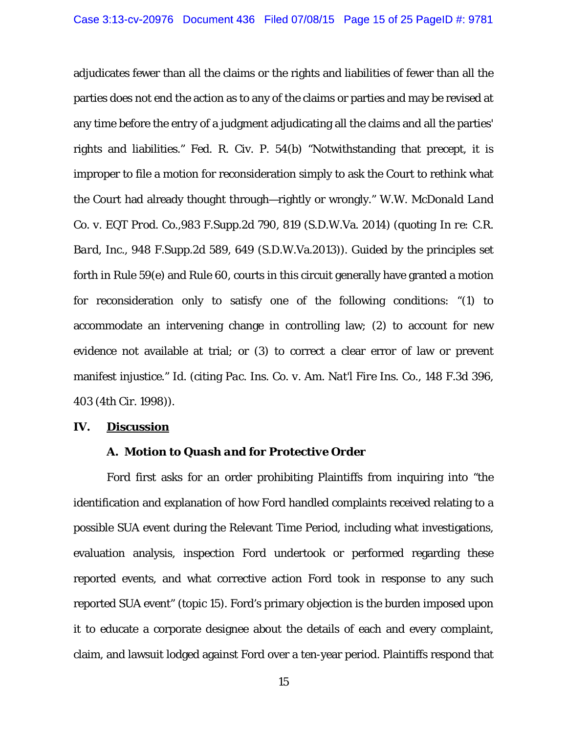adjudicates fewer than all the claims or the rights and liabilities of fewer than all the parties does not end the action as to any of the claims or parties and may be revised at any time before the entry of a judgment adjudicating all the claims and all the parties' rights and liabilities." Fed. R. Civ. P. 54(b) "Notwithstanding that precept, it is improper to file a motion for reconsideration simply to ask the Court to rethink what the Court had already thought through—rightly or wrongly." *W.W. McDonald Land Co. v. EQT Prod. Co.,*983 F.Supp.2d 790, 819 (S.D.W.Va. 2014) (*quoting In re: C.R. Bard, Inc.,* 948 F.Supp.2d 589, 649 (S.D.W.Va.2013)). Guided by the principles set forth in Rule 59(e) and Rule 60, courts in this circuit generally have granted a motion for reconsideration only to satisfy one of the following conditions: "(1) to accommodate an intervening change in controlling law; (2) to account for new evidence not available at trial; or (3) to correct a clear error of law or prevent manifest injustice." *Id.* (citing *Pac. Ins. Co. v. Am. Nat'l Fire Ins. Co.,* 148 F.3d 396, 403 (4th Cir. 1998)).

## **IV. Discussion**

## *A. Motion to Quash and for Protective Order*

 Ford first asks for an order prohibiting Plaintiffs from inquiring into "the identification and explanation of how Ford handled complaints received relating to a possible SUA event during the Relevant Time Period, including what investigations, evaluation analysis, inspection Ford undertook or performed regarding these reported events, and what corrective action Ford took in response to any such reported SUA event" (topic 15). Ford's primary objection is the burden imposed upon it to educate a corporate designee about the details of each and every complaint, claim, and lawsuit lodged against Ford over a ten-year period. Plaintiffs respond that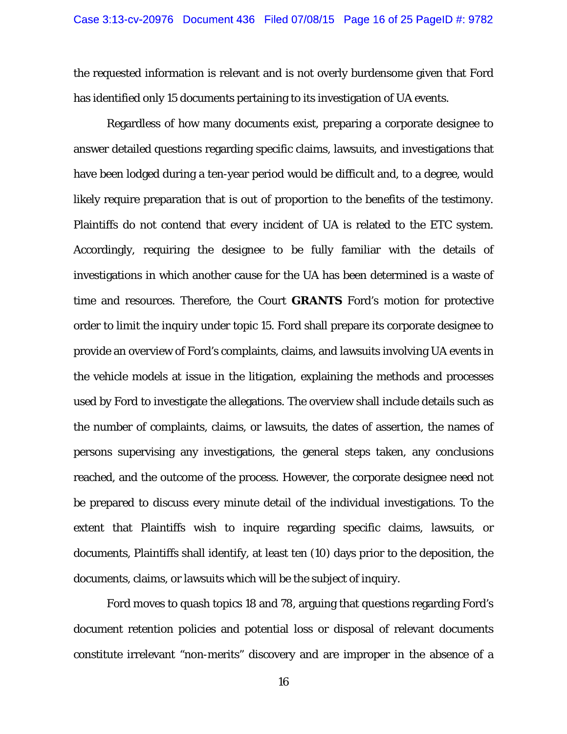the requested information is relevant and is not overly burdensome given that Ford has identified only 15 documents pertaining to its investigation of UA events.

 Regardless of how many documents exist, preparing a corporate designee to answer detailed questions regarding specific claims, lawsuits, and investigations that have been lodged during a ten-year period would be difficult and, to a degree, would likely require preparation that is out of proportion to the benefits of the testimony. Plaintiffs do not contend that *every* incident of UA is related to the ETC system. Accordingly, requiring the designee to be fully familiar with the details of investigations in which another cause for the UA has been determined is a waste of time and resources. Therefore, the Court **GRANTS** Ford's motion for protective order to limit the inquiry under topic 15. Ford shall prepare its corporate designee to provide an overview of Ford's complaints, claims, and lawsuits involving UA events in the vehicle models at issue in the litigation, explaining the methods and processes used by Ford to investigate the allegations. The overview shall include details such as the number of complaints, claims, or lawsuits, the dates of assertion, the names of persons supervising any investigations, the general steps taken, any conclusions reached, and the outcome of the process. However, the corporate designee need not be prepared to discuss every minute detail of the individual investigations. To the extent that Plaintiffs wish to inquire regarding specific claims, lawsuits, or documents, Plaintiffs shall identify, at least ten (10) days prior to the deposition, the documents, claims, or lawsuits which will be the subject of inquiry.

 Ford moves to quash topics 18 and 78, arguing that questions regarding Ford's document retention policies and potential loss or disposal of relevant documents constitute irrelevant "non-merits" discovery and are improper in the absence of a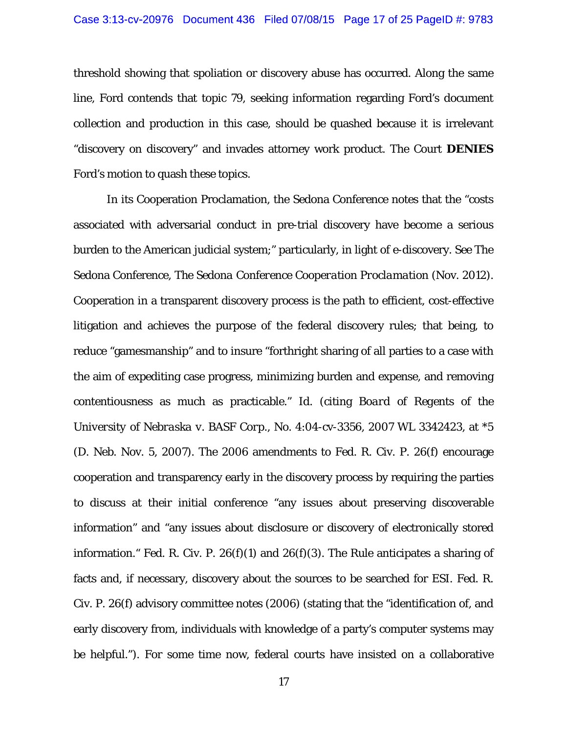threshold showing that spoliation or discovery abuse has occurred. Along the same line, Ford contends that topic 79, seeking information regarding Ford's document collection and production in this case, should be quashed because it is irrelevant "discovery on discovery" and invades attorney work product. The Court **DENIES**  Ford's motion to quash these topics.

 In its Cooperation Proclamation, the Sedona Conference notes that the "costs associated with adversarial conduct in pre-trial discovery have become a serious burden to the American judicial system;" particularly, in light of e-discovery. *See* The Sedona Conference, *The Sedona Conference Cooperation Proclamation* (Nov. 2012). Cooperation in a transparent discovery process is the path to efficient, cost-effective litigation and achieves the purpose of the federal discovery rules; that being, to reduce "gamesmanship" and to insure "forthright sharing of all parties to a case with the aim of expediting case progress, minimizing burden and expense, and removing contentiousness as much as practicable." *Id. (*citing *Board of Regents of the University of Nebraska v. BASF Corp.,* No. 4:04-cv-3356, 2007 WL 3342423, at \*5 (D. Neb. Nov. 5, 2007). The 2006 amendments to Fed. R. Civ. P. 26(f) encourage cooperation and transparency early in the discovery process by requiring the parties to discuss at their initial conference "any issues about preserving discoverable information" and "any issues about disclosure or discovery of electronically stored information." Fed. R. Civ. P.  $26(f)(1)$  and  $26(f)(3)$ . The Rule anticipates a sharing of facts and, if necessary, discovery about the sources to be searched for ESI. Fed. R. Civ. P. 26(f) advisory committee notes (2006) (stating that the "identification of, and early discovery from, individuals with knowledge of a party's computer systems may be helpful."). For some time now, federal courts have insisted on a collaborative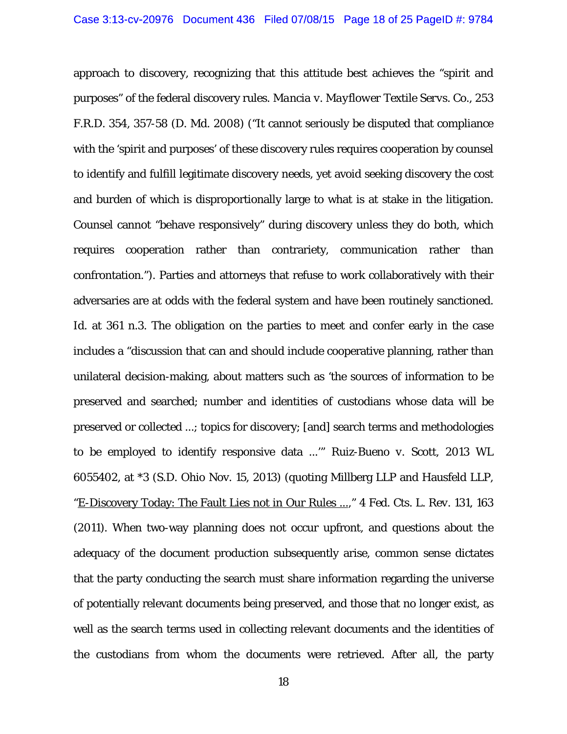approach to discovery, recognizing that this attitude best achieves the "spirit and purposes" of the federal discovery rules. *Mancia v. Mayflower Textile Servs. Co.,* 253 F.R.D. 354, 357-58 (D. Md. 2008) ("It cannot seriously be disputed that compliance with the 'spirit and purposes' of these discovery rules requires cooperation by counsel to identify and fulfill legitimate discovery needs, yet avoid seeking discovery the cost and burden of which is disproportionally large to what is at stake in the litigation. Counsel cannot "behave responsively" during discovery unless they do both, which requires cooperation rather than contrariety, communication rather than confrontation."). Parties and attorneys that refuse to work collaboratively with their adversaries are at odds with the federal system and have been routinely sanctioned. *Id.* at 361 n.3. The obligation on the parties to meet and confer early in the case includes a "discussion that can and should include cooperative planning, rather than unilateral decision-making, about matters such as 'the sources of information to be preserved and searched; number and identities of custodians whose data will be preserved or collected ...; topics for discovery; [and] search terms and methodologies to be employed to identify responsive data ...'" *Ruiz-Bueno v. Scott,* 2013 WL 6055402, at \*3 (S.D. Ohio Nov. 15, 2013) (quoting Millberg LLP and Hausfeld LLP, "E-Discovery Today: The Fault Lies not in Our Rules ...," 4 *Fed. Cts. L. Rev*. 131, 163 (2011). When two-way planning does not occur upfront, and questions about the adequacy of the document production subsequently arise, common sense dictates that the party conducting the search must share information regarding the universe of potentially relevant documents being preserved, and those that no longer exist, as well as the search terms used in collecting relevant documents and the identities of the custodians from whom the documents were retrieved. After all, the party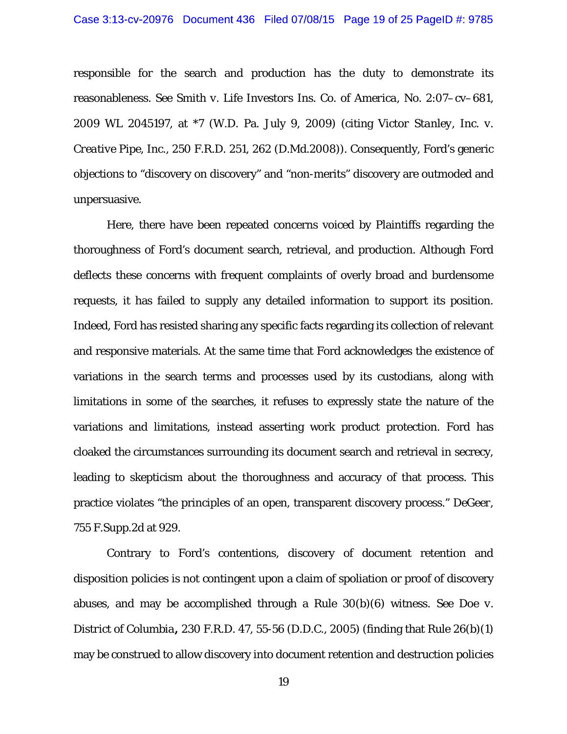responsible for the search and production has the duty to demonstrate its reasonableness. *See Smith v. Life Investors Ins. Co. of America,* No. 2:07–cv–681, 2009 WL 2045197, at \*7 (W.D. Pa. July 9, 2009) (citing *Victor Stanley, Inc. v. Creative Pipe, Inc.,* 250 F.R.D. 251, 262 (D.Md.2008)). Consequently, Ford's generic objections to "discovery on discovery" and "non-merits" discovery are outmoded and unpersuasive.

 Here, there have been repeated concerns voiced by Plaintiffs regarding the thoroughness of Ford's document search, retrieval, and production. Although Ford deflects these concerns with frequent complaints of overly broad and burdensome requests, it has failed to supply any detailed information to support its position. Indeed, Ford has resisted sharing any specific facts regarding its collection of relevant and responsive materials. At the same time that Ford acknowledges the existence of variations in the search terms and processes used by its custodians, along with limitations in some of the searches, it refuses to expressly state the nature of the variations and limitations, instead asserting work product protection. Ford has cloaked the circumstances surrounding its document search and retrieval in secrecy, leading to skepticism about the thoroughness and accuracy of that process. This practice violates "the principles of an open, transparent discovery process." *DeGeer,*  755 F.Supp.2d at 929.

Contrary to Ford's contentions, discovery of document retention and disposition policies is not contingent upon a claim of spoliation or proof of discovery abuses, and may be accomplished through a Rule 30(b)(6) witness. *See Doe v. District of Columbia***,** 230 F.R.D. 47, 55-56 (D.D.C., 2005) (finding that Rule 26(b)(1) may be construed to allow discovery into document retention and destruction policies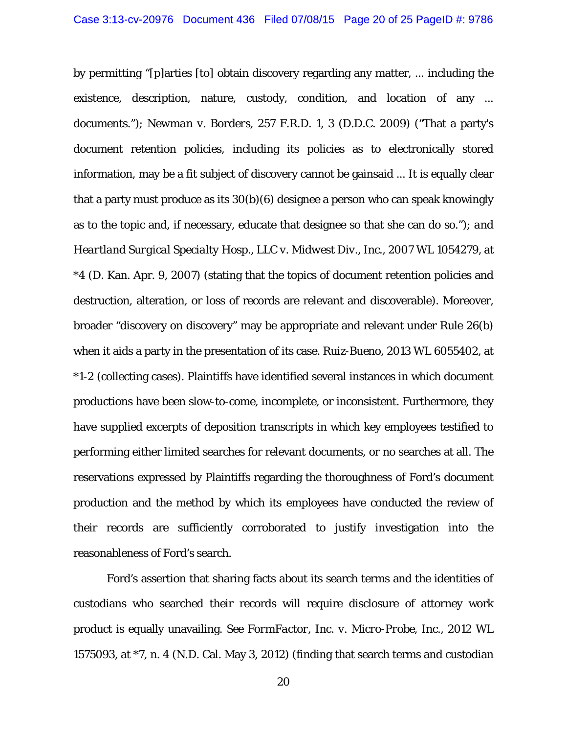by permitting "[p]arties [to] obtain discovery regarding any matter, ... including the existence, description, nature, custody, condition, and location of any ... documents."); *Newman v. Borders,* 257 F.R.D. 1, 3 (D.D.C. 2009) ("That a party's document retention policies, including its policies as to electronically stored information, may be a fit subject of discovery cannot be gainsaid ... It is equally clear that a party must produce as its 30(b)(6) designee a person who can speak knowingly as to the topic and, if necessary, educate that designee so that she can do so."); *and Heartland Surgical Specialty Hosp., LLC v. Midwest Div., Inc*., 2007 WL 1054279, at \*4 (D. Kan. Apr. 9, 2007) (stating that the topics of document retention policies and destruction, alteration, or loss of records are relevant and discoverable). Moreover, broader "discovery on discovery" may be appropriate and relevant under Rule 26(b) when it aids a party in the presentation of its case. *Ruiz-Bueno,* 2013 WL 6055402, at \*1-2 (collecting cases). Plaintiffs have identified several instances in which document productions have been slow-to-come, incomplete, or inconsistent. Furthermore, they have supplied excerpts of deposition transcripts in which key employees testified to performing either limited searches for relevant documents, or no searches at all. The reservations expressed by Plaintiffs regarding the thoroughness of Ford's document production and the method by which its employees have conducted the review of their records are sufficiently corroborated to justify investigation into the reasonableness of Ford's search.

Ford's assertion that sharing facts about its search terms and the identities of custodians who searched their records will require disclosure of attorney work product is equally unavailing. *See FormFactor, Inc. v. Micro-Probe, Inc.,* 2012 WL 1575093, at \*7, n. 4 (N.D. Cal. May 3, 2012) (finding that search terms and custodian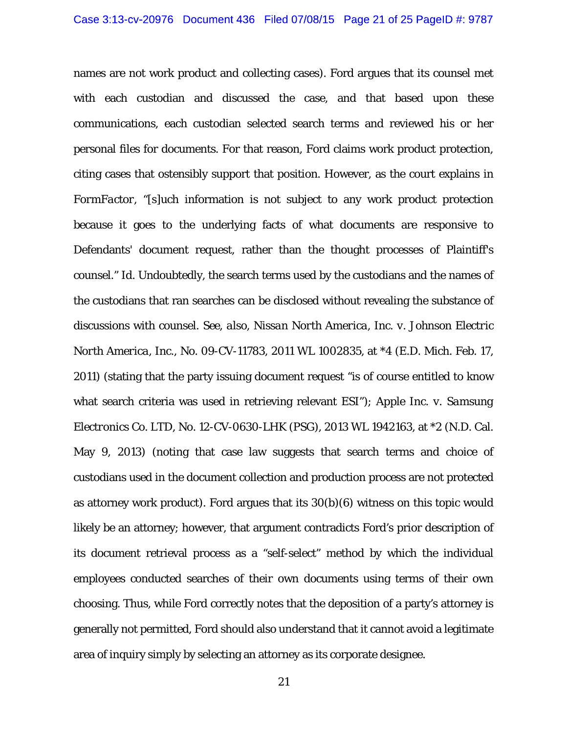names are not work product and collecting cases). Ford argues that its counsel met with each custodian and discussed the case, and that based upon these communications, each custodian selected search terms and reviewed his or her personal files for documents. For that reason, Ford claims work product protection, citing cases that ostensibly support that position. However, as the court explains in *FormFactor*, "[s]uch information is not subject to any work product protection because it goes to the underlying facts of what documents are responsive to Defendants' document request, rather than the thought processes of Plaintiff's counsel." *Id.* Undoubtedly, the search terms used by the custodians and the names of the custodians that ran searches can be disclosed without revealing the substance of discussions with counsel. *See, also, Nissan North America, Inc. v. Johnson Electric North America, Inc.,* No. 09-CV-11783, 2011 WL 1002835, at \*4 (E.D. Mich. Feb. 17, 2011) (stating that the party issuing document request "is of course entitled to know what search criteria was used in retrieving relevant ESI"); *Apple Inc. v. Samsung Electronics Co. LTD,* No. 12-CV-0630-LHK (PSG), 2013 WL 1942163, at \*2 (N.D. Cal. May 9, 2013) (noting that case law suggests that search terms and choice of custodians used in the document collection and production process are not protected as attorney work product). Ford argues that its  $30(b)(6)$  witness on this topic would likely be an attorney; however, that argument contradicts Ford's prior description of its document retrieval process as a "self-select" method by which the individual employees conducted searches of their own documents using terms of their own choosing. Thus, while Ford correctly notes that the deposition of a party's attorney is generally not permitted, Ford should also understand that it cannot avoid a legitimate area of inquiry simply by selecting an attorney as its corporate designee.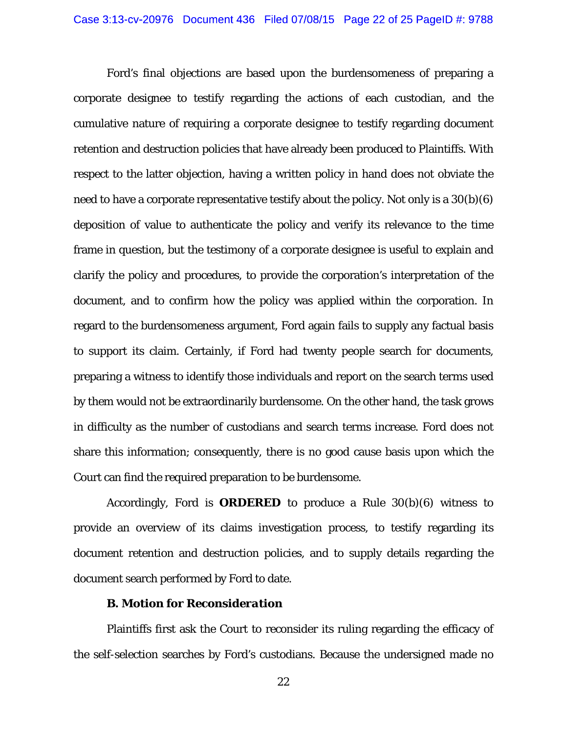Ford's final objections are based upon the burdensomeness of preparing a corporate designee to testify regarding the actions of each custodian, and the cumulative nature of requiring a corporate designee to testify regarding document retention and destruction policies that have already been produced to Plaintiffs. With respect to the latter objection, having a written policy in hand does not obviate the need to have a corporate representative testify about the policy. Not only is a  $30(b)(6)$ deposition of value to authenticate the policy and verify its relevance to the time frame in question, but the testimony of a corporate designee is useful to explain and clarify the policy and procedures, to provide the corporation's interpretation of the document, and to confirm how the policy was applied within the corporation. In regard to the burdensomeness argument, Ford again fails to supply any factual basis to support its claim. Certainly, if Ford had twenty people search for documents, preparing a witness to identify those individuals and report on the search terms used by them would not be extraordinarily burdensome. On the other hand, the task grows in difficulty as the number of custodians and search terms increase. Ford does not share this information; consequently, there is no good cause basis upon which the Court can find the required preparation to be burdensome.

Accordingly, Ford is **ORDERED** to produce a Rule 30(b)(6) witness to provide an overview of its claims investigation process, to testify regarding its document retention and destruction policies, and to supply details regarding the document search performed by Ford to date.

# *B. Motion for Reconsideration*

Plaintiffs first ask the Court to reconsider its ruling regarding the efficacy of the self-selection searches by Ford's custodians. Because the undersigned made no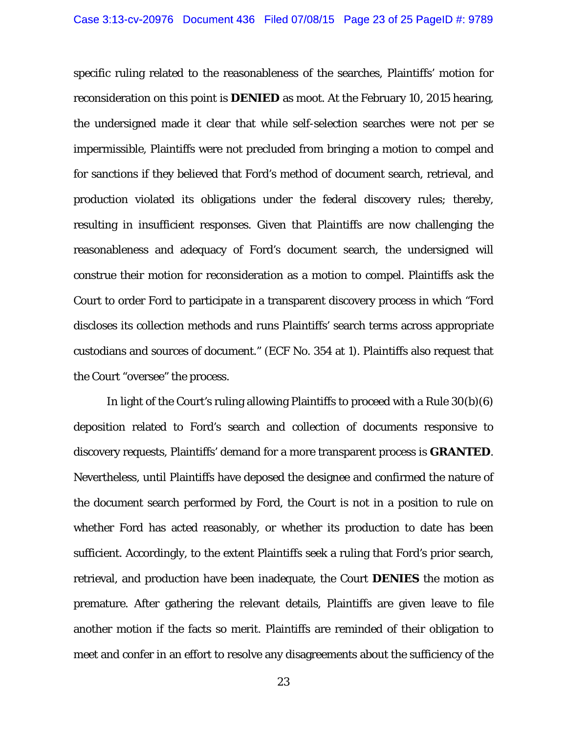specific ruling related to the reasonableness of the searches, Plaintiffs' motion for reconsideration on this point is **DENIED** as moot. At the February 10, 2015 hearing, the undersigned made it clear that while self-selection searches were not *per se* impermissible, Plaintiffs were not precluded from bringing a motion to compel and for sanctions if they believed that Ford's method of document search, retrieval, and production violated its obligations under the federal discovery rules; thereby, resulting in insufficient responses. Given that Plaintiffs are now challenging the reasonableness and adequacy of Ford's document search, the undersigned will construe their motion for reconsideration as a motion to compel. Plaintiffs ask the Court to order Ford to participate in a transparent discovery process in which "Ford discloses its collection methods and runs Plaintiffs' search terms across appropriate custodians and sources of document." (ECF No. 354 at 1). Plaintiffs also request that the Court "oversee" the process.

In light of the Court's ruling allowing Plaintiffs to proceed with a Rule 30(b)(6) deposition related to Ford's search and collection of documents responsive to discovery requests, Plaintiffs' demand for a more transparent process is **GRANTED**. Nevertheless, until Plaintiffs have deposed the designee and confirmed the nature of the document search performed by Ford, the Court is not in a position to rule on whether Ford has acted reasonably, or whether its production to date has been sufficient. Accordingly, to the extent Plaintiffs seek a ruling that Ford's prior search, retrieval, and production have been inadequate, the Court **DENIES** the motion as premature. After gathering the relevant details, Plaintiffs are given leave to file another motion if the facts so merit. Plaintiffs are reminded of their obligation to meet and confer in an effort to resolve any disagreements about the sufficiency of the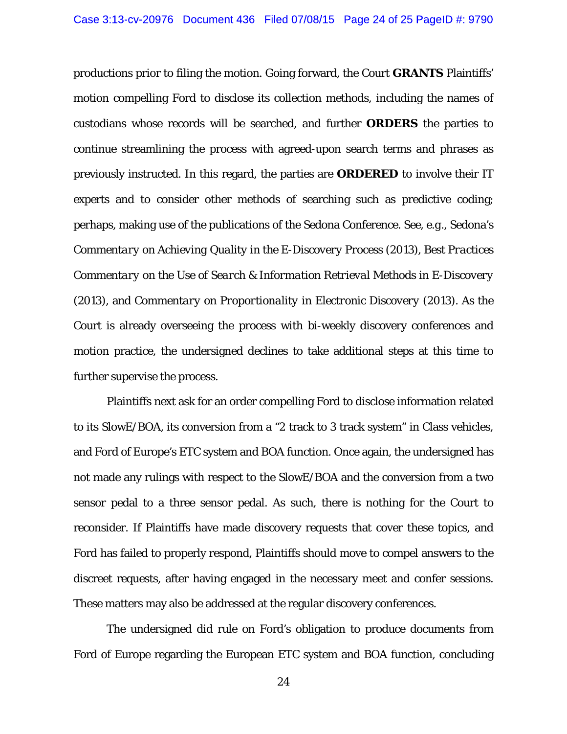productions prior to filing the motion. Going forward, the Court **GRANTS** Plaintiffs' motion compelling Ford to disclose its collection methods, including the names of custodians whose records will be searched, and further **ORDERS** the parties to continue streamlining the process with agreed-upon search terms and phrases as previously instructed. In this regard, the parties are **ORDERED** to involve their IT experts and to consider other methods of searching such as predictive coding; perhaps, making use of the publications of the Sedona Conference. *See, e.g.,* Sedona's *Commentary on Achieving Quality in the E-Discovery Process* (2013), *Best Practices Commentary on the Use of Search & Information Retrieval Methods in E-Discovery*  (2013), and *Commentary on Proportionality in Electronic Discovery* (2013). As the Court is already overseeing the process with bi-weekly discovery conferences and motion practice, the undersigned declines to take additional steps at this time to further supervise the process.

Plaintiffs next ask for an order compelling Ford to disclose information related to its SlowE/BOA, its conversion from a "2 track to 3 track system" in Class vehicles, and Ford of Europe's ETC system and BOA function. Once again, the undersigned has not made any rulings with respect to the SlowE/BOA and the conversion from a two sensor pedal to a three sensor pedal. As such, there is nothing for the Court to reconsider. If Plaintiffs have made discovery requests that cover these topics, and Ford has failed to properly respond, Plaintiffs should move to compel answers to the discreet requests, after having engaged in the necessary meet and confer sessions. These matters may also be addressed at the regular discovery conferences.

The undersigned did rule on Ford's obligation to produce documents from Ford of Europe regarding the European ETC system and BOA function, concluding